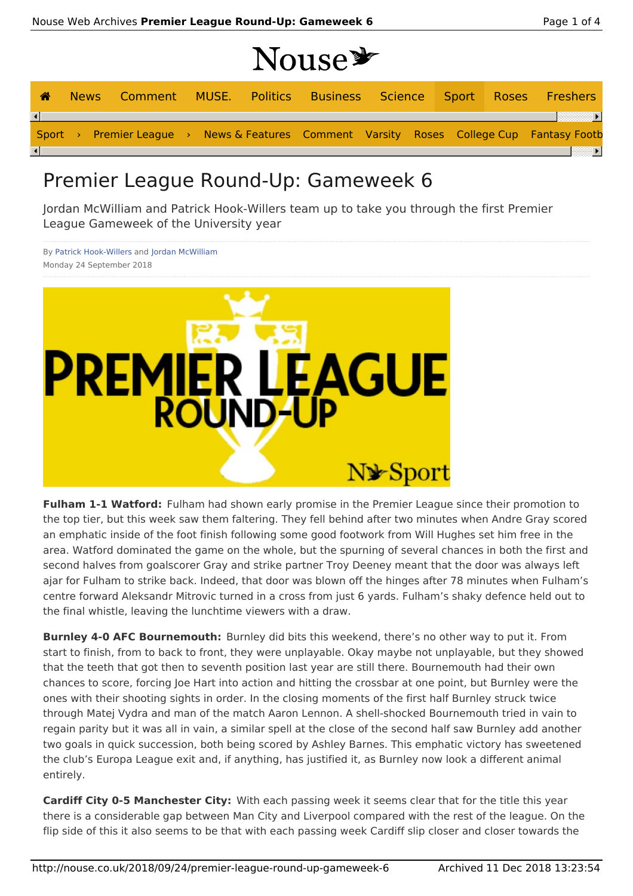# Nouse

|                        |  |  |  | -------- |  |  |                                                                                          |
|------------------------|--|--|--|----------|--|--|------------------------------------------------------------------------------------------|
| <b>A</b>               |  |  |  |          |  |  | News Comment MUSE. Politics Business Science Sport Roses Freshers                        |
| $\left  \cdot \right $ |  |  |  |          |  |  |                                                                                          |
|                        |  |  |  |          |  |  | Sport > Premier League > News & Features Comment Varsity Roses College Cup Fantasy Footb |
| $\left  \cdot \right $ |  |  |  |          |  |  |                                                                                          |

### Premier League Round-Up: Gameweek 6

Jordan McWilliam and Patrick Hook-Willers team up to take you through the first Premier League Gameweek of the University year

By Patrick Hook-Willers and Jordan McWilliam Monday 24 September 2018



**Fulham 1-1 Watford:** Fulham had shown early promise in the Premier League since their promotion to the top tier, but this week saw them faltering. They fell behind after two minutes when Andre Gray scored an emphatic inside of the foot finish following some good footwork from Will Hughes set him free in the area. Watford dominated the game on the whole, but the spurning of several chances in both the first and second halves from goalscorer Gray and strike partner Troy Deeney meant that the door was always left ajar for Fulham to strike back. Indeed, that door was blown off the hinges after 78 minutes when Fulham's centre forward Aleksandr Mitrovic turned in a cross from just 6 yards. Fulham's shaky defence held out to the final whistle, leaving the lunchtime viewers with a draw.

**Burnley 4-0 AFC Bournemouth:** Burnley did bits this weekend, there's no other way to put it. From start to finish, from to back to front, they were unplayable. Okay maybe not unplayable, but they showed that the teeth that got then to seventh position last year are still there. Bournemouth had their own chances to score, forcing Joe Hart into action and hitting the crossbar at one point, but Burnley were the ones with their shooting sights in order. In the closing moments of the first half Burnley struck twice through Matej Vydra and man of the match Aaron Lennon. A shell-shocked Bournemouth tried in vain to regain parity but it was all in vain, a similar spell at the close of the second half saw Burnley add another two goals in quick succession, both being scored by Ashley Barnes. This emphatic victory has sweetened the club's Europa League exit and, if anything, has justified it, as Burnley now look a different animal entirely.

**Cardiff City 0-5 Manchester City:** With each passing week it seems clear that for the title this year there is a considerable gap between Man City and Liverpool compared with the rest of the league. On the flip side of this it also seems to be that with each passing week Cardiff slip closer and closer towards the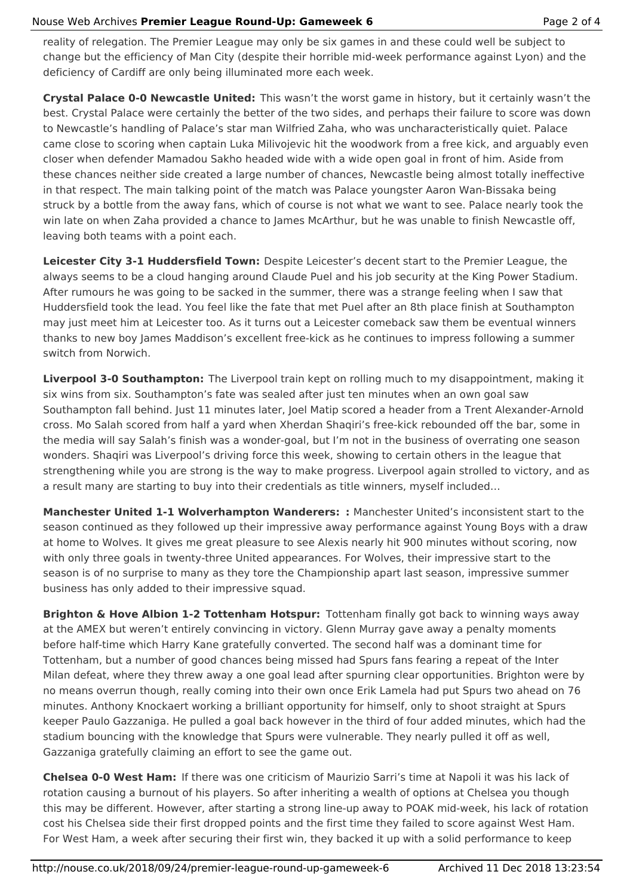#### Nouse Web Archives **Premier League Round-Up: Gameweek 6** Page 2 of 4

reality of relegation. The Premier League may only be six games in and these could well be subject to change but the efficiency of Man City (despite their horrible mid-week performance against Lyon) and the deficiency of Cardiff are only being illuminated more each week.

**Crystal Palace 0-0 Newcastle United:** This wasn't the worst game in history, but it certainly wasn't the best. Crystal Palace were certainly the better of the two sides, and perhaps their failure to score was down to Newcastle's handling of Palace's star man Wilfried Zaha, who was uncharacteristically quiet. Palace came close to scoring when captain Luka Milivojevic hit the woodwork from a free kick, and arguably even closer when defender Mamadou Sakho headed wide with a wide open goal in front of him. Aside from these chances neither side created a large number of chances, Newcastle being almost totally ineffective in that respect. The main talking point of the match was Palace youngster Aaron Wan-Bissaka being struck by a bottle from the away fans, which of course is not what we want to see. Palace nearly took the win late on when Zaha provided a chance to James McArthur, but he was unable to finish Newcastle off, leaving both teams with a point each.

**Leicester City 3-1 Huddersfield Town:** Despite Leicester's decent start to the Premier League, the always seems to be a cloud hanging around Claude Puel and his job security at the King Power Stadium. After rumours he was going to be sacked in the summer, there was a strange feeling when I saw that Huddersfield took the lead. You feel like the fate that met Puel after an 8th place finish at Southampton may just meet him at Leicester too. As it turns out a Leicester comeback saw them be eventual winners thanks to new boy James Maddison's excellent free-kick as he continues to impress following a summer switch from Norwich.

**Liverpool 3-0 Southampton:** The Liverpool train kept on rolling much to my disappointment, making it six wins from six. Southampton's fate was sealed after just ten minutes when an own goal saw Southampton fall behind. Just 11 minutes later, Joel Matip scored a header from a Trent Alexander-Arnold cross. Mo Salah scored from half a yard when Xherdan Shaqiri's free-kick rebounded off the bar, some in the media will say Salah's finish was a wonder-goal, but I'm not in the business of overrating one season wonders. Shaqiri was Liverpool's driving force this week, showing to certain others in the league that strengthening while you are strong is the way to make progress. Liverpool again strolled to victory, and as a result many are starting to buy into their credentials as title winners, myself included…

**Manchester United 1-1 Wolverhampton Wanderers: :** Manchester United's inconsistent start to the season continued as they followed up their impressive away performance against Young Boys with a draw at home to Wolves. It gives me great pleasure to see Alexis nearly hit 900 minutes without scoring, now with only three goals in twenty-three United appearances. For Wolves, their impressive start to the season is of no surprise to many as they tore the Championship apart last season, impressive summer business has only added to their impressive squad.

**Brighton & Hove Albion 1-2 Tottenham Hotspur:** Tottenham finally got back to winning ways away at the AMEX but weren't entirely convincing in victory. Glenn Murray gave away a penalty moments before half-time which Harry Kane gratefully converted. The second half was a dominant time for Tottenham, but a number of good chances being missed had Spurs fans fearing a repeat of the Inter Milan defeat, where they threw away a one goal lead after spurning clear opportunities. Brighton were by no means overrun though, really coming into their own once Erik Lamela had put Spurs two ahead on 76 minutes. Anthony Knockaert working a brilliant opportunity for himself, only to shoot straight at Spurs keeper Paulo Gazzaniga. He pulled a goal back however in the third of four added minutes, which had the stadium bouncing with the knowledge that Spurs were vulnerable. They nearly pulled it off as well, Gazzaniga gratefully claiming an effort to see the game out.

**Chelsea 0-0 West Ham:** If there was one criticism of Maurizio Sarri's time at Napoli it was his lack of rotation causing a burnout of his players. So after inheriting a wealth of options at Chelsea you though this may be different. However, after starting a strong line-up away to POAK mid-week, his lack of rotation cost his Chelsea side their first dropped points and the first time they failed to score against West Ham. For West Ham, a week after securing their first win, they backed it up with a solid performance to keep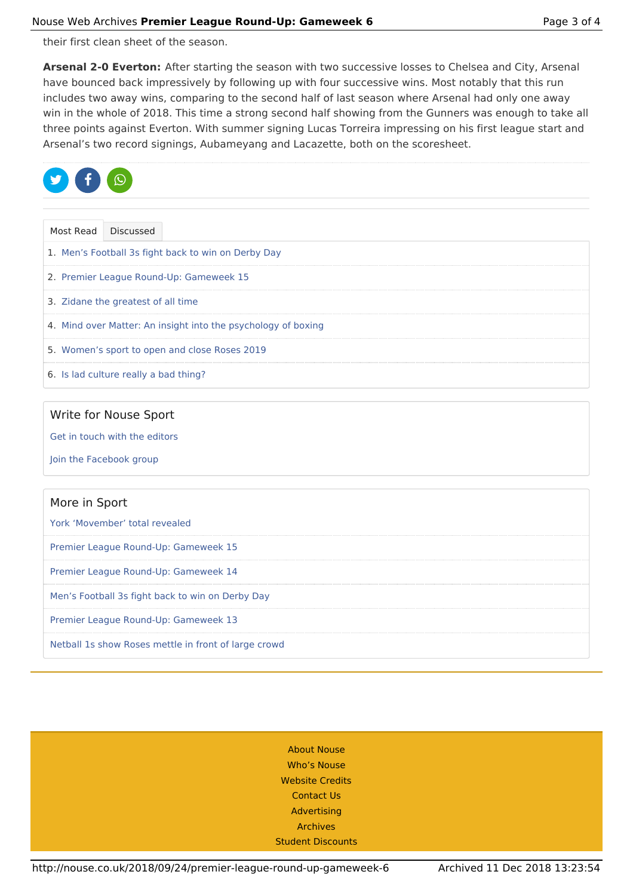their first clean sheet of the season.

**Arsenal 2-0 Everton:** After starting the season with two successive losses to Chelsea and City, Arsenal have bounced back impressively by following up with four successive wins. Most notably that this run includes two away wins, comparing to the second half of last season where Arsenal had only one away win in the whole of 2018. This time a strong second half showing from the Gunners was enough to take all three points against Everton. With summer signing Lucas Torreira impressing on his first league start and Arsenal's two record signings, Aubameyang and Lacazette, both on the scoresheet.



| Most Read | Discussed                                                     |
|-----------|---------------------------------------------------------------|
|           | 1. Men's Football 3s fight back to win on Derby Day           |
|           | 2. Premier League Round-Up: Gameweek 15                       |
|           | 3. Zidane the greatest of all time                            |
|           | 4. Mind over Matter: An insight into the psychology of boxing |
|           | 5. Women's sport to open and close Roses 2019                 |
|           | 6. Is lad culture really a bad thing?                         |

#### Write for Nouse Sport

Get in touch with the editors

Join the Facebook group

## More in Sport York 'Movember' total revealed Premier League Round-Up: Gameweek 15 Premier League Round-Up: Gameweek 14 Men's Football 3s fight back to win on Derby Day Premier League Round-Up: Gameweek 13 Netball 1s show Roses mettle in front of large crowd

| <b>About Nouse</b>       |  |
|--------------------------|--|
| <b>Who's Nouse</b>       |  |
| <b>Website Credits</b>   |  |
| <b>Contact Us</b>        |  |
| Advertising              |  |
| <b>Archives</b>          |  |
| <b>Student Discounts</b> |  |
|                          |  |